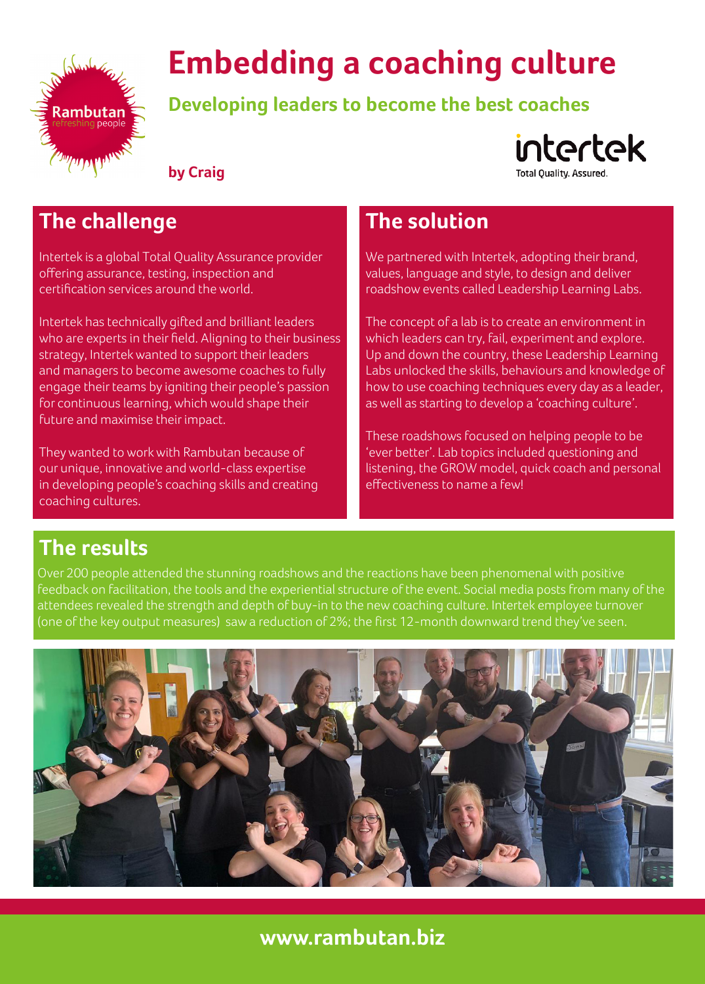

# **Embedding a coaching culture**

**Developing leaders to become the best coaches**



**by Craig**

# **The challenge**

**The challenge** certification services around the world. Intertek is a global Total Quality Assurance provider offering assurance, testing, inspection and

Intertek has technically gifted and brilliant leaders who are experts in their field. Aligning to their business strategy, Intertek wanted to support their leaders and managers to become awesome coaches to fully engage their teams by igniting their people's passion for continuous learning, which would shape their future and maximise their impact.

They wanted to work with Rambutan because of our unique, innovative and world-class expertise in developing people's coaching skills and creating coaching cultures.

# **The solution**

We partnered with Intertek, adopting their brand, values, language and style, to design and deliver roadshow events called Leadership Learning Labs.

The concept of a lab is to create an environment in which leaders can try, fail, experiment and explore. Up and down the country, these Leadership Learning Labs unlocked the skills, behaviours and knowledge of how to use coaching techniques every day as a leader, as well as starting to develop a 'coaching culture'.

These roadshows focused on helping people to be 'ever better'. Lab topics included questioning and listening, the GROW model, quick coach and personal effectiveness to name a few!

## **The results**

Over 200 people attended the stunning roadshows and the reactions have been phenomenal with positive feedback on facilitation, the tools and the experiential structure of the event. Social media posts from many of the attendees revealed the strength and depth of buy-in to the new coaching culture. Intertek employee turnover (one of the key output measures) saw a reduction of 2%; the first 12-month downward trend they've seen.



## **www.rambutan.biz**